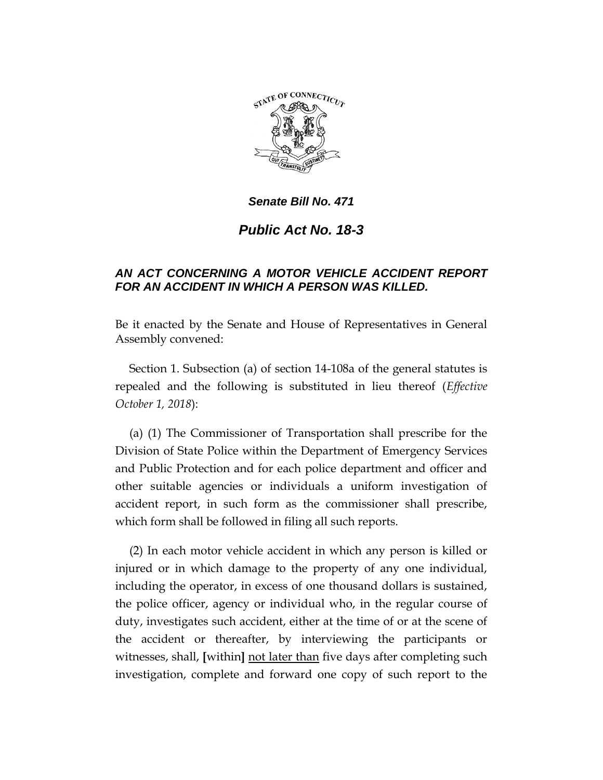

*Senate Bill No. 471*

*Public Act No. 18-3*

## *AN ACT CONCERNING A MOTOR VEHICLE ACCIDENT REPORT FOR AN ACCIDENT IN WHICH A PERSON WAS KILLED.*

Be it enacted by the Senate and House of Representatives in General Assembly convened:

Section 1. Subsection (a) of section 14-108a of the general statutes is repealed and the following is substituted in lieu thereof (*Effective October 1, 2018*):

(a) (1) The Commissioner of Transportation shall prescribe for the Division of State Police within the Department of Emergency Services and Public Protection and for each police department and officer and other suitable agencies or individuals a uniform investigation of accident report, in such form as the commissioner shall prescribe, which form shall be followed in filing all such reports.

(2) In each motor vehicle accident in which any person is killed or injured or in which damage to the property of any one individual, including the operator, in excess of one thousand dollars is sustained, the police officer, agency or individual who, in the regular course of duty, investigates such accident, either at the time of or at the scene of the accident or thereafter, by interviewing the participants or witnesses, shall, **[**within**]** not later than five days after completing such investigation, complete and forward one copy of such report to the